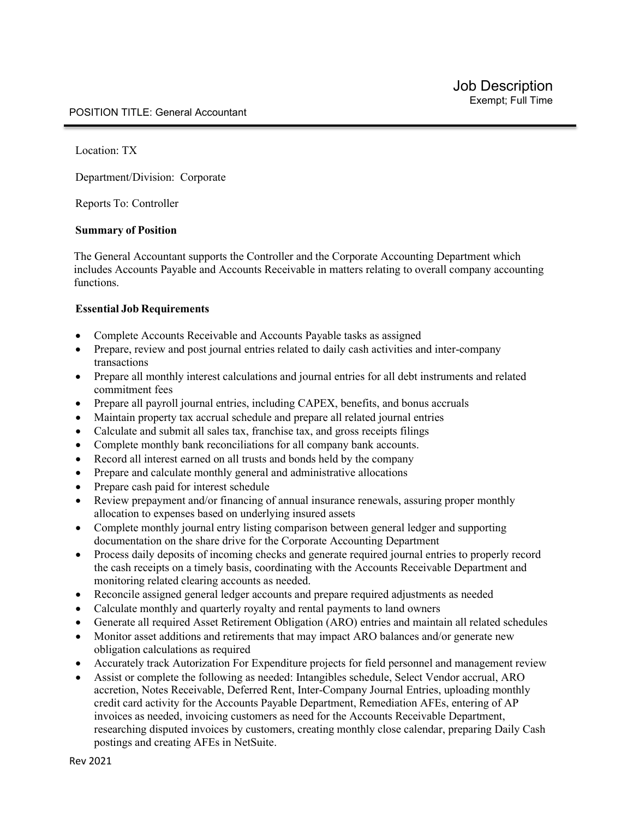Location: TX

Department/Division: Corporate

Reports To: Controller

#### **Summary of Position**

The General Accountant supports the Controller and the Corporate Accounting Department which includes Accounts Payable and Accounts Receivable in matters relating to overall company accounting functions.

#### **Essential Job Requirements**

- Complete Accounts Receivable and Accounts Payable tasks as assigned
- Prepare, review and post journal entries related to daily cash activities and inter-company transactions
- Prepare all monthly interest calculations and journal entries for all debt instruments and related commitment fees
- Prepare all payroll journal entries, including CAPEX, benefits, and bonus accruals
- Maintain property tax accrual schedule and prepare all related journal entries
- Calculate and submit all sales tax, franchise tax, and gross receipts filings
- Complete monthly bank reconciliations for all company bank accounts.
- Record all interest earned on all trusts and bonds held by the company
- Prepare and calculate monthly general and administrative allocations
- Prepare cash paid for interest schedule
- Review prepayment and/or financing of annual insurance renewals, assuring proper monthly allocation to expenses based on underlying insured assets
- Complete monthly journal entry listing comparison between general ledger and supporting documentation on the share drive for the Corporate Accounting Department
- Process daily deposits of incoming checks and generate required journal entries to properly record the cash receipts on a timely basis, coordinating with the Accounts Receivable Department and monitoring related clearing accounts as needed.
- Reconcile assigned general ledger accounts and prepare required adjustments as needed
- Calculate monthly and quarterly royalty and rental payments to land owners
- Generate all required Asset Retirement Obligation (ARO) entries and maintain all related schedules
- Monitor asset additions and retirements that may impact ARO balances and/or generate new obligation calculations as required
- Accurately track Autorization For Expenditure projects for field personnel and management review
- Assist or complete the following as needed: Intangibles schedule, Select Vendor accrual, ARO accretion, Notes Receivable, Deferred Rent, Inter-Company Journal Entries, uploading monthly credit card activity for the Accounts Payable Department, Remediation AFEs, entering of AP invoices as needed, invoicing customers as need for the Accounts Receivable Department, researching disputed invoices by customers, creating monthly close calendar, preparing Daily Cash postings and creating AFEs in NetSuite.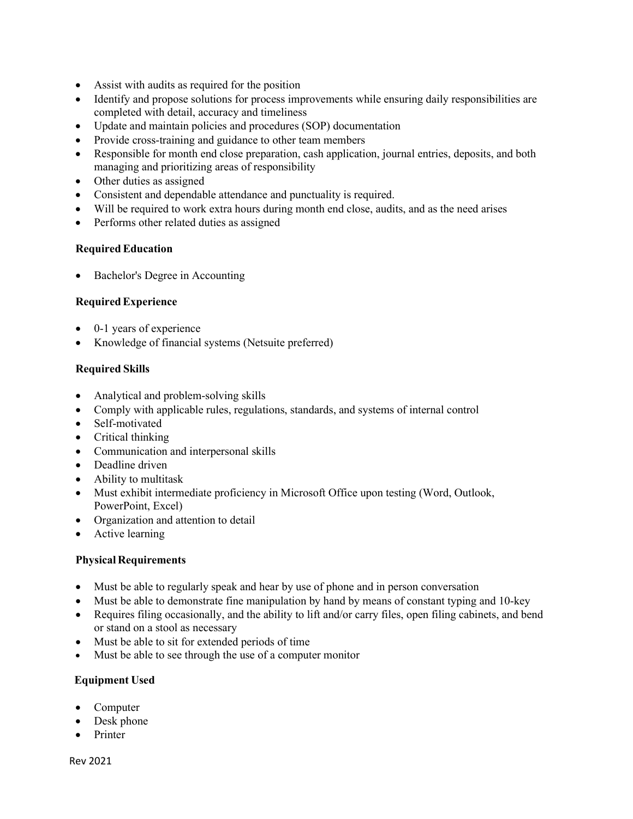- Assist with audits as required for the position
- Identify and propose solutions for process improvements while ensuring daily responsibilities are completed with detail, accuracy and timeliness
- Update and maintain policies and procedures (SOP) documentation
- Provide cross-training and guidance to other team members
- Responsible for month end close preparation, cash application, journal entries, deposits, and both managing and prioritizing areas of responsibility
- Other duties as assigned
- Consistent and dependable attendance and punctuality is required.
- Will be required to work extra hours during month end close, audits, and as the need arises
- Performs other related duties as assigned

### **RequiredEducation**

Bachelor's Degree in Accounting

## **RequiredExperience**

- 0-1 years of experience
- Knowledge of financial systems (Netsuite preferred)

## **Required Skills**

- Analytical and problem-solving skills
- Comply with applicable rules, regulations, standards, and systems of internal control
- Self-motivated
- Critical thinking
- Communication and interpersonal skills
- Deadline driven
- Ability to multitask
- Must exhibit intermediate proficiency in Microsoft Office upon testing (Word, Outlook, PowerPoint, Excel)
- Organization and attention to detail
- Active learning

### **Physical Requirements**

- Must be able to regularly speak and hear by use of phone and in person conversation
- Must be able to demonstrate fine manipulation by hand by means of constant typing and 10-key
- Requires filing occasionally, and the ability to lift and/or carry files, open filing cabinets, and bend or stand on a stool as necessary
- Must be able to sit for extended periods of time
- Must be able to see through the use of a computer monitor

## **Equipment Used**

- Computer
- Desk phone
- Printer